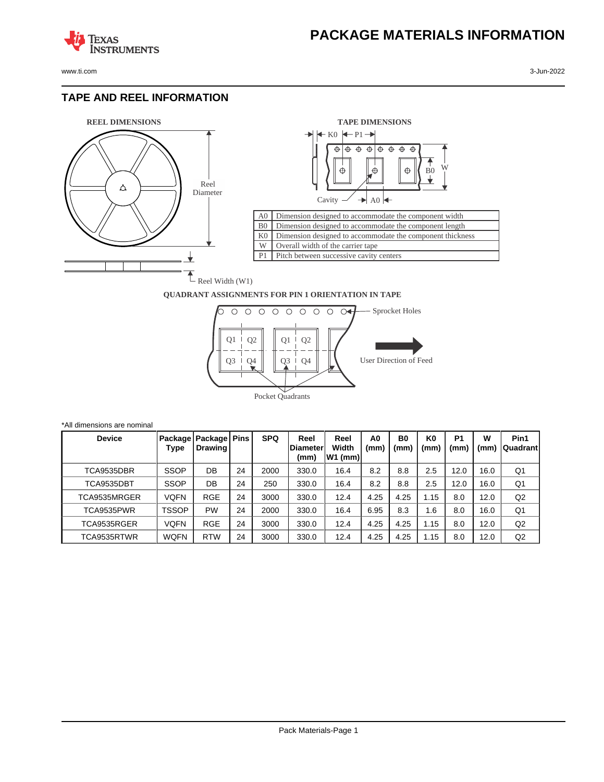

**TEXAS** 

## **TAPE AND REEL INFORMATION**

**STRUMENTS** 





## **QUADRANT ASSIGNMENTS FOR PIN 1 ORIENTATION IN TAPE**



| *All dimensions are nominal |              |                                     |    |            |                                  |                            |                        |                        |                        |                       |           |                   |
|-----------------------------|--------------|-------------------------------------|----|------------|----------------------------------|----------------------------|------------------------|------------------------|------------------------|-----------------------|-----------|-------------------|
| <b>Device</b>               | Type         | Package   Package   Pins<br>Drawing |    | <b>SPQ</b> | Reel<br><b>IDiameter</b><br>(mm) | Reel<br>Width<br>$W1$ (mm) | A <sub>0</sub><br>(mm) | B <sub>0</sub><br>(mm) | K <sub>0</sub><br>(mm) | P <sub>1</sub><br>(mm | W<br>(mm) | Pin1<br> Quadrant |
| TCA9535DBR                  | <b>SSOP</b>  | DB                                  | 24 | 2000       | 330.0                            | 16.4                       | 8.2                    | 8.8                    | 2.5                    | 12.0                  | 16.0      | Q1                |
| TCA9535DBT                  | <b>SSOP</b>  | DB                                  | 24 | 250        | 330.0                            | 16.4                       | 8.2                    | 8.8                    | 2.5                    | 12.0                  | 16.0      | Q <sub>1</sub>    |
| TCA9535MRGER                | VQFN         | <b>RGE</b>                          | 24 | 3000       | 330.0                            | 12.4                       | 4.25                   | 4.25                   | 1.15                   | 8.0                   | 12.0      | Q2                |
| TCA9535PWR                  | <b>TSSOP</b> | PW                                  | 24 | 2000       | 330.0                            | 16.4                       | 6.95                   | 8.3                    | 1.6                    | 8.0                   | 16.0      | Q1                |
| TCA9535RGER                 | VQFN         | <b>RGE</b>                          | 24 | 3000       | 330.0                            | 12.4                       | 4.25                   | 4.25                   | 1.15                   | 8.0                   | 12.0      | Q2                |
| TCA9535RTWR                 | <b>WQFN</b>  | <b>RTW</b>                          | 24 | 3000       | 330.0                            | 12.4                       | 4.25                   | 4.25                   | 1.15                   | 8.0                   | 12.0      | Q2                |